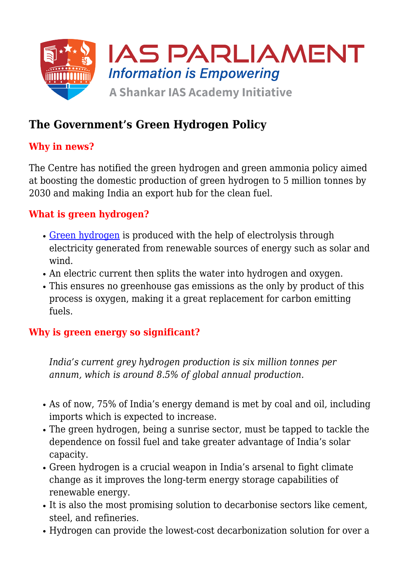

# **The Government's Green Hydrogen Policy**

## **Why in news?**

The Centre has notified the green hydrogen and green ammonia policy aimed at boosting the domestic production of green hydrogen to 5 million tonnes by 2030 and making India an export hub for the clean fuel.

## **What is green hydrogen?**

- [Green hydrogen](https://www.iasparliament.com/current-affairs/all-about-green-hydrogen) is produced with the help of electrolysis through electricity generated from renewable sources of energy such as solar and wind.
- An electric current then splits the water into hydrogen and oxygen.
- This ensures no greenhouse gas emissions as the only by product of this process is oxygen, making it a great replacement for carbon emitting fuels.

#### **Why is green energy so significant?**

*India's current grey hydrogen production is six million tonnes per annum, which is around 8.5% of global annual production.*

- As of now, 75% of India's energy demand is met by coal and oil, including imports which is expected to increase.
- The green hydrogen, being a sunrise sector, must be tapped to tackle the dependence on fossil fuel and take greater advantage of India's solar capacity.
- Green hydrogen is a crucial weapon in India's arsenal to fight climate change as it improves the long-term energy storage capabilities of renewable energy.
- It is also the most promising solution to decarbonise sectors like cement, steel, and refineries.
- Hydrogen can provide the lowest-cost decarbonization solution for over a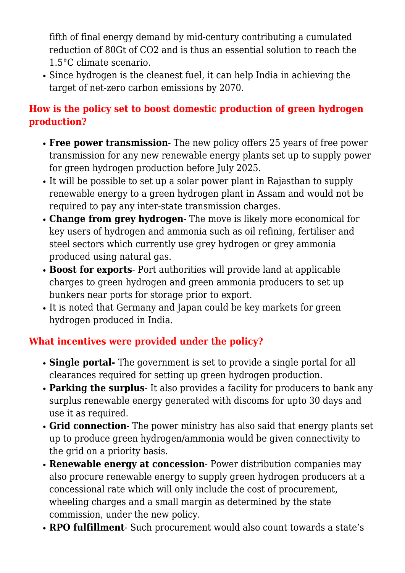fifth of final energy demand by mid-century contributing a cumulated reduction of 80Gt of CO2 and is thus an essential solution to reach the 1.5°C climate scenario.

Since hydrogen is the cleanest fuel, it can help India in achieving the target of net-zero carbon emissions by 2070.

### **How is the policy set to boost domestic production of green hydrogen production?**

- **Free power transmission** The new policy offers 25 years of free power transmission for any new renewable energy plants set up to supply power for green hydrogen production before July 2025.
- It will be possible to set up a solar power plant in Rajasthan to supply renewable energy to a green hydrogen plant in Assam and would not be required to pay any inter-state transmission charges.
- **Change from grey hydrogen** The move is likely more economical for key users of hydrogen and ammonia such as oil refining, fertiliser and steel sectors which currently use grey hydrogen or grey ammonia produced using natural gas.
- **Boost for exports** Port authorities will provide land at applicable charges to green hydrogen and green ammonia producers to set up bunkers near ports for storage prior to export.
- It is noted that Germany and Japan could be key markets for green hydrogen produced in India.

## **What incentives were provided under the policy?**

- **Single portal-** The government is set to provide a single portal for all clearances required for setting up green hydrogen production.
- **Parking the surplus** It also provides a facility for producers to bank any surplus renewable energy generated with discoms for upto 30 days and use it as required.
- **Grid connection** The power ministry has also said that energy plants set up to produce green hydrogen/ammonia would be given connectivity to the grid on a priority basis.
- **Renewable energy at concession** Power distribution companies may also procure renewable energy to supply green hydrogen producers at a concessional rate which will only include the cost of procurement, wheeling charges and a small margin as determined by the state commission, under the new policy.
- **RPO fulfillment** Such procurement would also count towards a state's